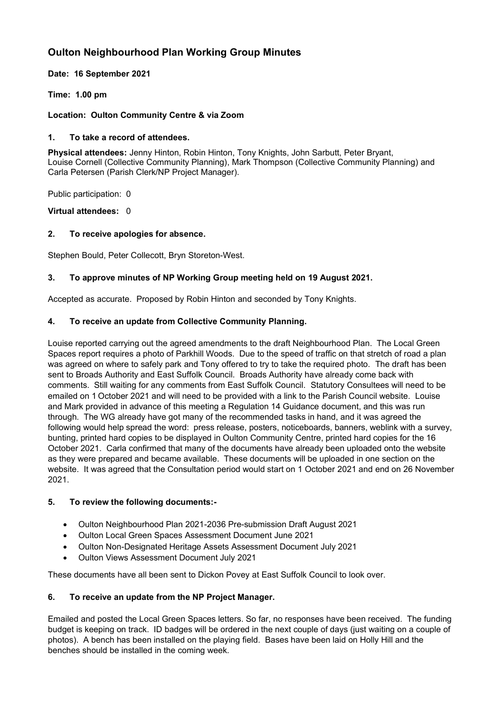# **Oulton Neighbourhood Plan Working Group Minutes**

**Date: 16 September 2021**

**Time: 1.00 pm**

### **Location: Oulton Community Centre & via Zoom**

### **1. To take a record of attendees.**

**Physical attendees:** Jenny Hinton, Robin Hinton, Tony Knights, John Sarbutt, Peter Bryant, Louise Cornell (Collective Community Planning), Mark Thompson (Collective Community Planning) and Carla Petersen (Parish Clerk/NP Project Manager).

Public participation: 0

**Virtual attendees:** 0

# **2. To receive apologies for absence.**

Stephen Bould, Peter Collecott, Bryn Storeton-West.

# **3. To approve minutes of NP Working Group meeting held on 19 August 2021.**

Accepted as accurate. Proposed by Robin Hinton and seconded by Tony Knights.

# **4. To receive an update from Collective Community Planning.**

Louise reported carrying out the agreed amendments to the draft Neighbourhood Plan. The Local Green Spaces report requires a photo of Parkhill Woods. Due to the speed of traffic on that stretch of road a plan was agreed on where to safely park and Tony offered to try to take the required photo. The draft has been sent to Broads Authority and East Suffolk Council. Broads Authority have already come back with comments. Still waiting for any comments from East Suffolk Council. Statutory Consultees will need to be emailed on 1 October 2021 and will need to be provided with a link to the Parish Council website. Louise and Mark provided in advance of this meeting a Regulation 14 Guidance document, and this was run through. The WG already have got many of the recommended tasks in hand, and it was agreed the following would help spread the word: press release, posters, noticeboards, banners, weblink with a survey, bunting, printed hard copies to be displayed in Oulton Community Centre, printed hard copies for the 16 October 2021. Carla confirmed that many of the documents have already been uploaded onto the website as they were prepared and became available. These documents will be uploaded in one section on the website. It was agreed that the Consultation period would start on 1 October 2021 and end on 26 November 2021.

### **5. To review the following documents:-**

- Oulton Neighbourhood Plan 2021-2036 Pre-submission Draft August 2021
- Oulton Local Green Spaces Assessment Document June 2021
- Oulton Non-Designated Heritage Assets Assessment Document July 2021
- Oulton Views Assessment Document July 2021

These documents have all been sent to Dickon Povey at East Suffolk Council to look over.

# **6. To receive an update from the NP Project Manager.**

Emailed and posted the Local Green Spaces letters. So far, no responses have been received. The funding budget is keeping on track. ID badges will be ordered in the next couple of days (just waiting on a couple of photos). A bench has been installed on the playing field. Bases have been laid on Holly Hill and the benches should be installed in the coming week.